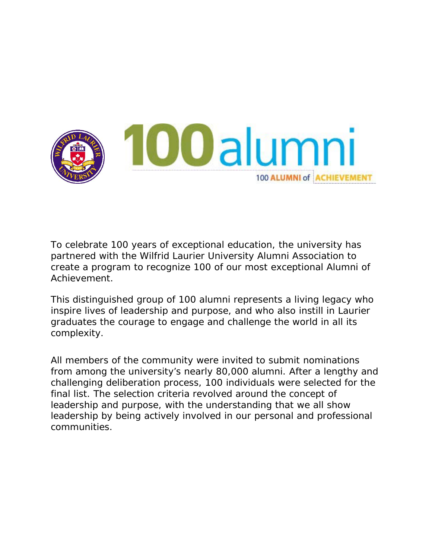

To celebrate 100 years of exceptional education, the university has partnered with the Wilfrid Laurier University Alumni Association to create a program to recognize 100 of our most exceptional Alumni of Achievement.

This distinguished group of 100 alumni represents a living legacy who inspire lives of leadership and purpose, and who also instill in Laurier graduates the courage to engage and challenge the world in all its complexity.

All members of the community were invited to submit nominations from among the university's nearly 80,000 alumni. After a lengthy and challenging deliberation process, 100 individuals were selected for the final list. The selection criteria revolved around the concept of leadership and purpose, with the understanding that we all show leadership by being actively involved in our personal and professional communities.